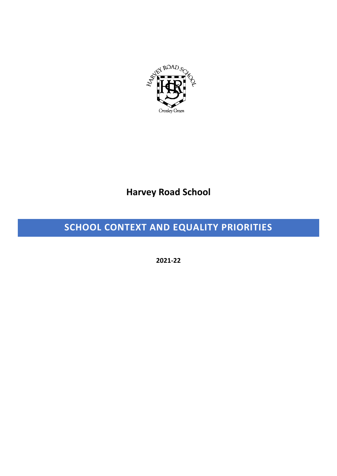

## **Harvey Road School**

## **SCHOOL CONTEXT AND EQUALITY PRIORITIES**

**2021-22**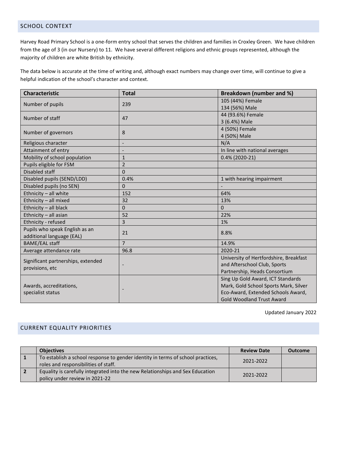## SCHOOL CONTEXT

Harvey Road Primary School is a one-form entry school that serves the children and families in Croxley Green. We have children from the age of 3 (in our Nursery) to 11. We have several different religions and ethnic groups represented, although the majority of children are white British by ethnicity.

The data below is accurate at the time of writing and, although exact numbers may change over time, will continue to give a helpful indication of the school's character and context.

| <b>Characteristic</b>                        | <b>Total</b>             | <b>Breakdown (number and %)</b>        |
|----------------------------------------------|--------------------------|----------------------------------------|
| Number of pupils                             | 239                      | 105 (44%) Female                       |
|                                              |                          | 134 (56%) Male                         |
| Number of staff                              | 47                       | 44 (93.6%) Female                      |
|                                              |                          | 3 (6.4%) Male                          |
| Number of governors                          | 8                        | 4 (50%) Female                         |
|                                              |                          | 4 (50%) Male                           |
| Religious character                          |                          | N/A                                    |
| Attainment of entry                          |                          | In line with national averages         |
| Mobility of school population                | $\mathbf{1}$             | 0.4% (2020-21)                         |
| Pupils eligible for FSM                      | $\overline{2}$           |                                        |
| Disabled staff                               | $\mathbf 0$              |                                        |
| Disabled pupils (SEND/LDD)                   | 0.4%                     | 1 with hearing impairment              |
| Disabled pupils (no SEN)                     | 0                        |                                        |
| Ethnicity - all white                        | 152                      | 64%                                    |
| Ethnicity - all mixed                        | 32                       | 13%                                    |
| Ethnicity - all black                        | $\Omega$                 | $\Omega$                               |
| Ethnicity - all asian                        | 52                       | 22%                                    |
| Ethnicity - refused                          | 3                        | 1%                                     |
| Pupils who speak English as an               | 21                       | 8.8%                                   |
| additional language (EAL)                    |                          |                                        |
| <b>BAME/EAL staff</b>                        | $\overline{7}$           | 14.9%                                  |
| Average attendance rate                      | 96.8                     | 2020-21                                |
| Significant partnerships, extended           |                          | University of Hertfordshire, Breakfast |
| provisions, etc                              | $\overline{\phantom{0}}$ | and Afterschool Club, Sports           |
|                                              |                          | Partnership, Heads Consortium          |
|                                              |                          | Sing Up Gold Award, ICT Standards      |
| Awards, accreditations,<br>specialist status |                          | Mark, Gold School Sports Mark, Silver  |
|                                              |                          | Eco-Award, Extended Schools Award,     |
|                                              |                          | <b>Gold Woodland Trust Award</b>       |

Updated January 2022

## CURRENT EQUALITY PRIORITIES

|                | <b>Objectives</b>                                                                                                       | <b>Review Date</b> | <b>Outcome</b> |
|----------------|-------------------------------------------------------------------------------------------------------------------------|--------------------|----------------|
| 1              | To establish a school response to gender identity in terms of school practices,<br>roles and responsibilities of staff. | 2021-2022          |                |
| $\overline{2}$ | Equality is carefully integrated into the new Relationships and Sex Education<br>policy under review in 2021-22         | 2021-2022          |                |